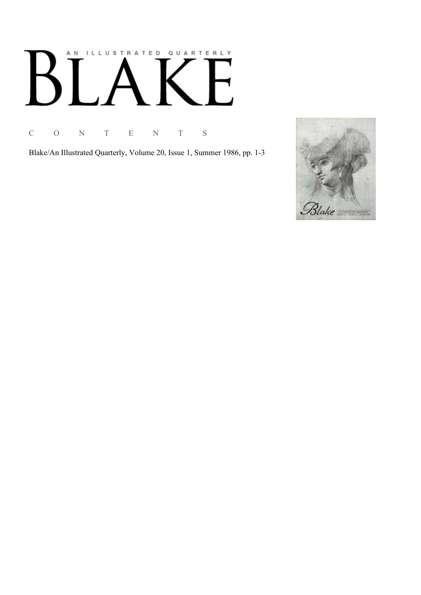# AN ILLUSTRATED QUARTERLY  $B^{\prime}$ ٦<br>۱  $\begin{bmatrix} 1 & 1 \\ 1 & 1 \end{bmatrix}$

C O N T E N T S

Blake/An Illustrated Quarterly, Volume 20, Issue 1, Summer 1986, pp. 1-3

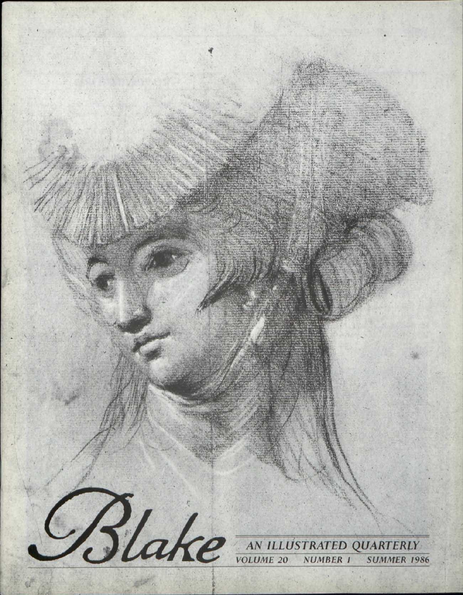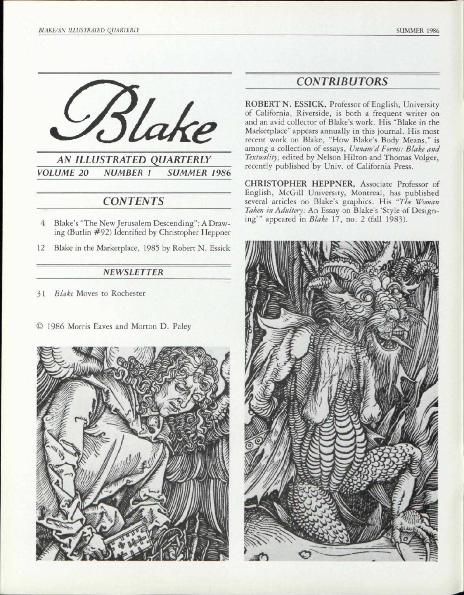



# *CONTENTS ~~*

- 4 Blake's "The New Jerusalem Descending": A Drawing (Butlin #92) Identified by Christopher Heppner
- 12 Blake in the Marketplace, 1985 by Robert N. Essick

#### *NEWSLETTER*

3 1 *Blake* Moves to Rochester

© 1986 Morris Eaves and Morton D. Paley



## *CONTRIBUTORS*

ROBERT N. ESSICK, Professor of English, University of California, Riverside, is both a frequent writer on and an avid collector of Blake's work. His "Blake in the Marketplace" appears annually in this journal. His most recent work on Blake, "How Blake's Body Means," is among a collection of essays, *Unnam'd Forms: Blake and Textuality,* edited by Nelson Hilton and Thomas Volger, recently published by Univ. of California Press.

CHRISTOPHER HEPPNER, Associate Professor of English, McGill University, Montreal, has published several articles on Blake's graphics. His *"The Woman Taken in Adultery:* An Essay on Blake's 'Style of Designing'" appeared in *Blake* 17, no. 2 (fall 1983).